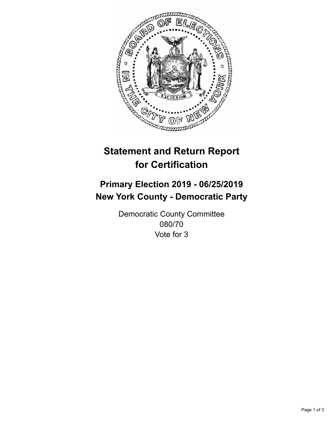

## **Statement and Return Report for Certification**

## **Primary Election 2019 - 06/25/2019 New York County - Democratic Party**

Democratic County Committee 080/70 Vote for 3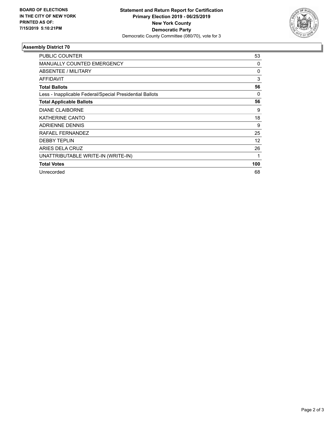

## **Assembly District 70**

| <b>PUBLIC COUNTER</b>                                    | 53  |
|----------------------------------------------------------|-----|
| <b>MANUALLY COUNTED EMERGENCY</b>                        | 0   |
| ABSENTEE / MILITARY                                      | 0   |
| <b>AFFIDAVIT</b>                                         | 3   |
| <b>Total Ballots</b>                                     | 56  |
| Less - Inapplicable Federal/Special Presidential Ballots | 0   |
| <b>Total Applicable Ballots</b>                          | 56  |
| <b>DIANE CLAIBORNE</b>                                   | 9   |
| KATHERINE CANTO                                          | 18  |
| <b>ADRIENNE DENNIS</b>                                   | 9   |
| RAFAEL FERNANDEZ                                         | 25  |
| <b>DEBBY TEPLIN</b>                                      | 12  |
| ARIES DELA CRUZ                                          | 26  |
| UNATTRIBUTABLE WRITE-IN (WRITE-IN)                       |     |
| <b>Total Votes</b>                                       | 100 |
| Unrecorded                                               | 68  |